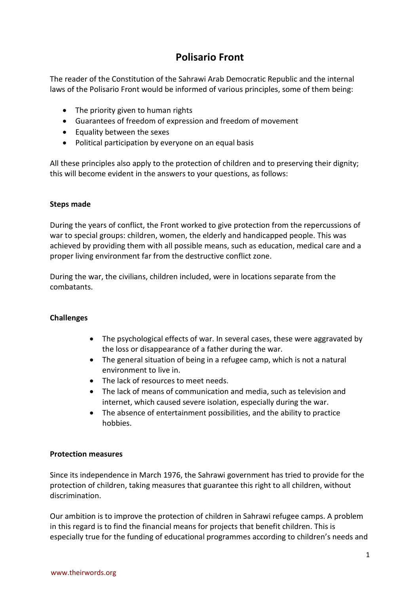## **Polisario Front**

The reader of the Constitution of the Sahrawi Arab Democratic Republic and the internal laws of the Polisario Front would be informed of various principles, some of them being:

- The priority given to human rights
- Guarantees of freedom of expression and freedom of movement
- Equality between the sexes
- Political participation by everyone on an equal basis

All these principles also apply to the protection of children and to preserving their dignity; this will become evident in the answers to your questions, as follows:

## **Steps made**

During the years of conflict, the Front worked to give protection from the repercussions of war to special groups: children, women, the elderly and handicapped people. This was achieved by providing them with all possible means, such as education, medical care and a proper living environment far from the destructive conflict zone.

During the war, the civilians, children included, were in locations separate from the combatants.

## **Challenges**

- The psychological effects of war. In several cases, these were aggravated by the loss or disappearance of a father during the war.
- The general situation of being in a refugee camp, which is not a natural environment to live in.
- The lack of resources to meet needs.
- The lack of means of communication and media, such as television and internet, which caused severe isolation, especially during the war.
- The absence of entertainment possibilities, and the ability to practice hobbies.

## **Protection measures**

Since its independence in March 1976, the Sahrawi government has tried to provide for the protection of children, taking measures that guarantee this right to all children, without discrimination.

Our ambition is to improve the protection of children in Sahrawi refugee camps. A problem in this regard is to find the financial means for projects that benefit children. This is especially true for the funding of educational programmes according to children's needs and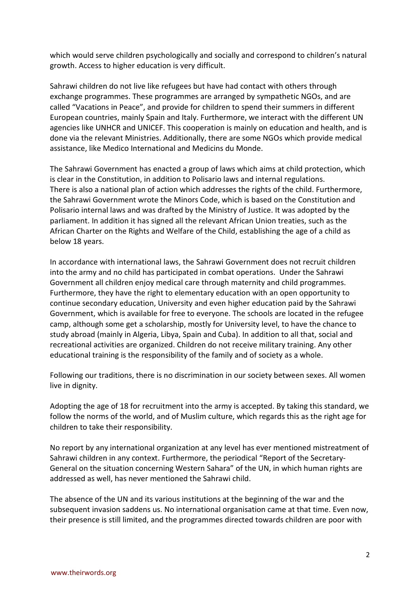which would serve children psychologically and socially and correspond to children's natural growth. Access to higher education is very difficult.

Sahrawi children do not live like refugees but have had contact with others through exchange programmes. These programmes are arranged by sympathetic NGOs, and are called "Vacations in Peace", and provide for children to spend their summers in different European countries, mainly Spain and Italy. Furthermore, we interact with the different UN agencies like UNHCR and UNICEF. This cooperation is mainly on education and health, and is done via the relevant Ministries. Additionally, there are some NGOs which provide medical assistance, like Medico International and Medicins du Monde.

The Sahrawi Government has enacted a group of laws which aims at child protection, which is clear in the Constitution, in addition to Polisario laws and internal regulations. There is also a national plan of action which addresses the rights of the child. Furthermore, the Sahrawi Government wrote the Minors Code, which is based on the Constitution and Polisario internal laws and was drafted by the Ministry of Justice. It was adopted by the parliament. In addition it has signed all the relevant African Union treaties, such as the African Charter on the Rights and Welfare of the Child, establishing the age of a child as below 18 years.

In accordance with international laws, the Sahrawi Government does not recruit children into the army and no child has participated in combat operations. Under the Sahrawi Government all children enjoy medical care through maternity and child programmes. Furthermore, they have the right to elementary education with an open opportunity to continue secondary education, University and even higher education paid by the Sahrawi Government, which is available for free to everyone. The schools are located in the refugee camp, although some get a scholarship, mostly for University level, to have the chance to study abroad (mainly in Algeria, Libya, Spain and Cuba). In addition to all that, social and recreational activities are organized. Children do not receive military training. Any other educational training is the responsibility of the family and of society as a whole.

Following our traditions, there is no discrimination in our society between sexes. All women live in dignity.

Adopting the age of 18 for recruitment into the army is accepted. By taking this standard, we follow the norms of the world, and of Muslim culture, which regards this as the right age for children to take their responsibility.

No report by any international organization at any level has ever mentioned mistreatment of Sahrawi children in any context. Furthermore, the periodical "Report of the Secretary-General on the situation concerning Western Sahara" of the UN, in which human rights are addressed as well, has never mentioned the Sahrawi child.

The absence of the UN and its various institutions at the beginning of the war and the subsequent invasion saddens us. No international organisation came at that time. Even now, their presence is still limited, and the programmes directed towards children are poor with